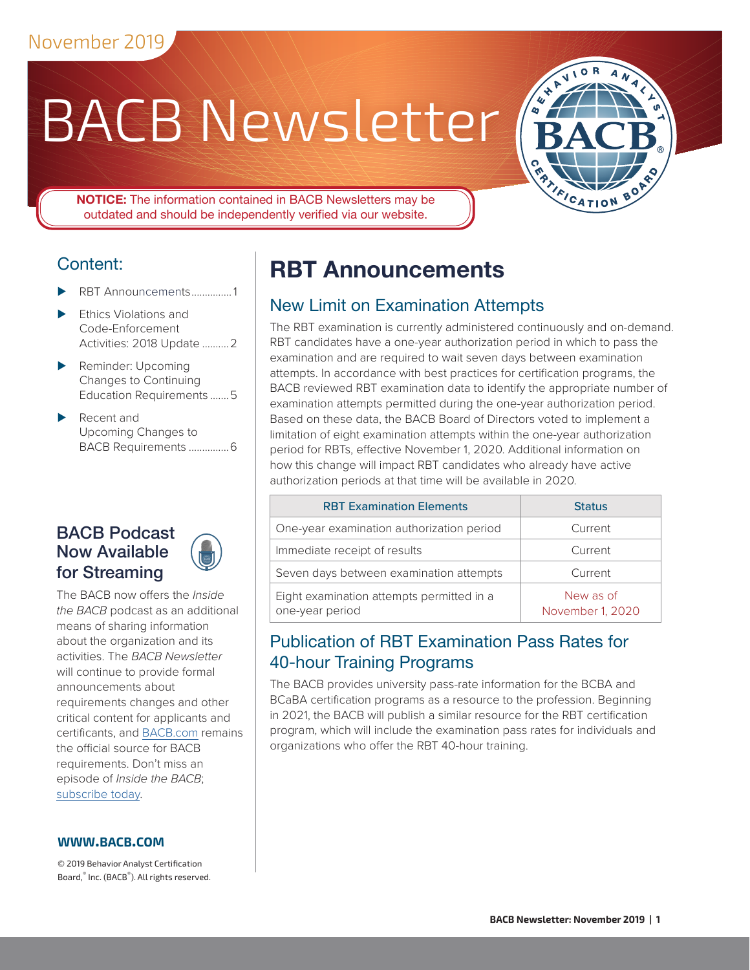# BACB Newsletter



**NOTICE:** The information contained in BACB Newsletters may be outdated and should be independently verified via our website.

## Content:

- ⊲ RBT Announcements............... 1
- ⊲ [Ethics Violations and](#page-1-0)  [Code-Enforcement](#page-1-0)  [Activities: 2018 Update](#page-1-0) ..........2
- ▶ Reminder: Upcoming [Changes to Continuing](#page-4-0)  [Education Requirements](#page-4-0) .......5
- Recent and [Upcoming Changes to](#page-5-0)  [BACB Requirements](#page-5-0) ...............6

#### BACB Podcast Now Available for Streaming



The BACB now offers the *Inside the BACB* podcast as an additional means of sharing information about the organization and its activities. The *BACB Newsletter* will continue to provide formal announcements about requirements changes and other critical content for applicants and certificants, and [BACB.com](http://www.bacb.com) remains the official source for BACB requirements. Don't miss an episode of *Inside the BACB*; [subscribe today](https://anchor.fm/bacb).

#### **www[.bacb.com](http://www.bacb.com)**

© 2019 Behavior Analyst Certification Board,® Inc. (BACB® ). All rights reserved.

# **RBT Announcements**

## New Limit on Examination Attempts

The RBT examination is currently administered continuously and on-demand. RBT candidates have a one-year authorization period in which to pass the examination and are required to wait seven days between examination attempts. In accordance with best practices for certification programs, the BACB reviewed RBT examination data to identify the appropriate number of examination attempts permitted during the one-year authorization period. Based on these data, the BACB Board of Directors voted to implement a limitation of eight examination attempts within the one-year authorization period for RBTs, effective November 1, 2020. Additional information on how this change will impact RBT candidates who already have active authorization periods at that time will be available in 2020.

| <b>RBT Examination Elements</b>                              | <b>Status</b>                 |
|--------------------------------------------------------------|-------------------------------|
| One-year examination authorization period                    | Current                       |
| Immediate receipt of results                                 | Current                       |
| Seven days between examination attempts                      | Current                       |
| Eight examination attempts permitted in a<br>one-year period | New as of<br>November 1, 2020 |

#### Publication of RBT Examination Pass Rates for 40-hour Training Programs

The BACB provides university pass-rate information for the BCBA and BCaBA certification programs as a resource to the profession. Beginning in 2021, the BACB will publish a similar resource for the RBT certification program, which will include the examination pass rates for individuals and organizations who offer the RBT 40-hour training.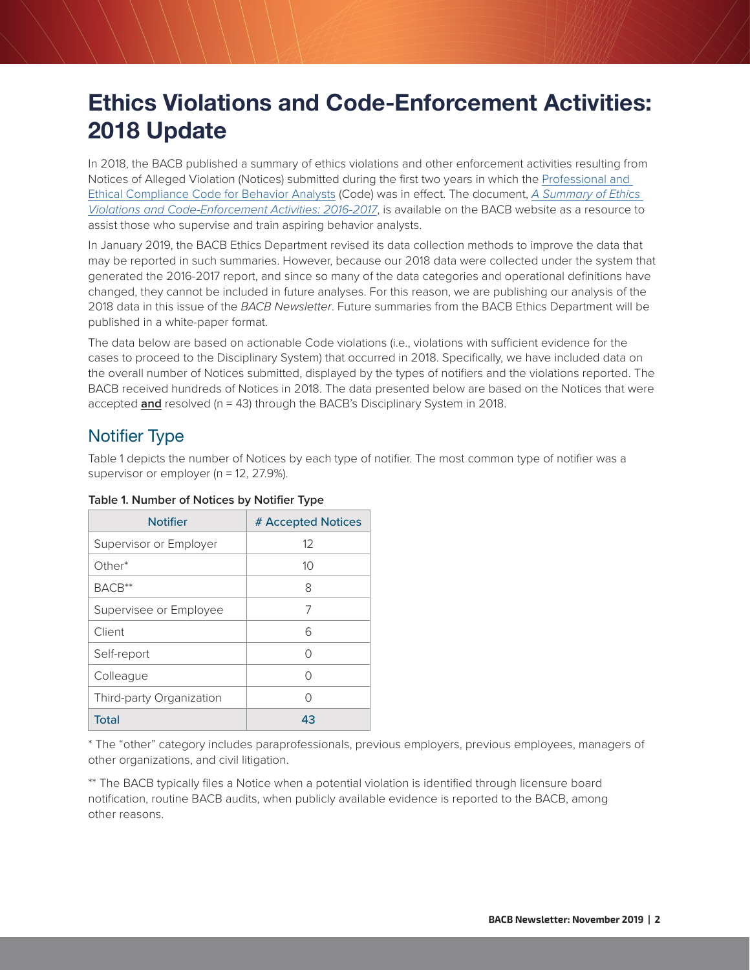## <span id="page-1-0"></span>**Ethics Violations and Code-Enforcement Activities: 2018 Update**

In 2018, the BACB published a summary of ethics violations and other enforcement activities resulting from Notices of Alleged Violation (Notices) submitted during the first two years in which the [Professional and](http://www.bacb.com/wp-content/bacb-compliance-code)  [Ethical Compliance Code for Behavior Analysts](http://www.bacb.com/wp-content/bacb-compliance-code) (Code) was in effect. The document, *[A Summary of Ethics](http://www.bacb.com/wp-content/ethics-violations-and-code-enforcement-activities)  [Violations and Code-Enforcement Activities: 2016-2017](http://www.bacb.com/wp-content/ethics-violations-and-code-enforcement-activities)*, is available on the BACB website as a resource to assist those who supervise and train aspiring behavior analysts.

In January 2019, the BACB Ethics Department revised its data collection methods to improve the data that may be reported in such summaries. However, because our 2018 data were collected under the system that generated the 2016-2017 report, and since so many of the data categories and operational definitions have changed, they cannot be included in future analyses. For this reason, we are publishing our analysis of the 2018 data in this issue of the *BACB Newsletter*. Future summaries from the BACB Ethics Department will be published in a white-paper format.

The data below are based on actionable Code violations (i.e., violations with sufficient evidence for the cases to proceed to the Disciplinary System) that occurred in 2018. Specifically, we have included data on the overall number of Notices submitted, displayed by the types of notifiers and the violations reported. The BACB received hundreds of Notices in 2018. The data presented below are based on the Notices that were accepted **and** resolved (n = 43) through the BACB's Disciplinary System in 2018.

#### Notifier Type

Table 1 depicts the number of Notices by each type of notifier. The most common type of notifier was a supervisor or employer (n = 12, 27.9%).

| <b>Notifier</b>          | # Accepted Notices |
|--------------------------|--------------------|
| Supervisor or Employer   | 12                 |
| Other*                   | 10                 |
| BACB**                   | 8                  |
| Supervisee or Employee   | 7                  |
| Client                   | 6                  |
| Self-report              | ∩                  |
| Colleague                | ∩                  |
| Third-party Organization | ∩                  |
| <b>Total</b>             | 43                 |

**Table 1. Number of Notices by Notifier Type**

\* The "other" category includes paraprofessionals, previous employers, previous employees, managers of other organizations, and civil litigation.

\*\* The BACB typically files a Notice when a potential violation is identified through licensure board notification, routine BACB audits, when publicly available evidence is reported to the BACB, among other reasons.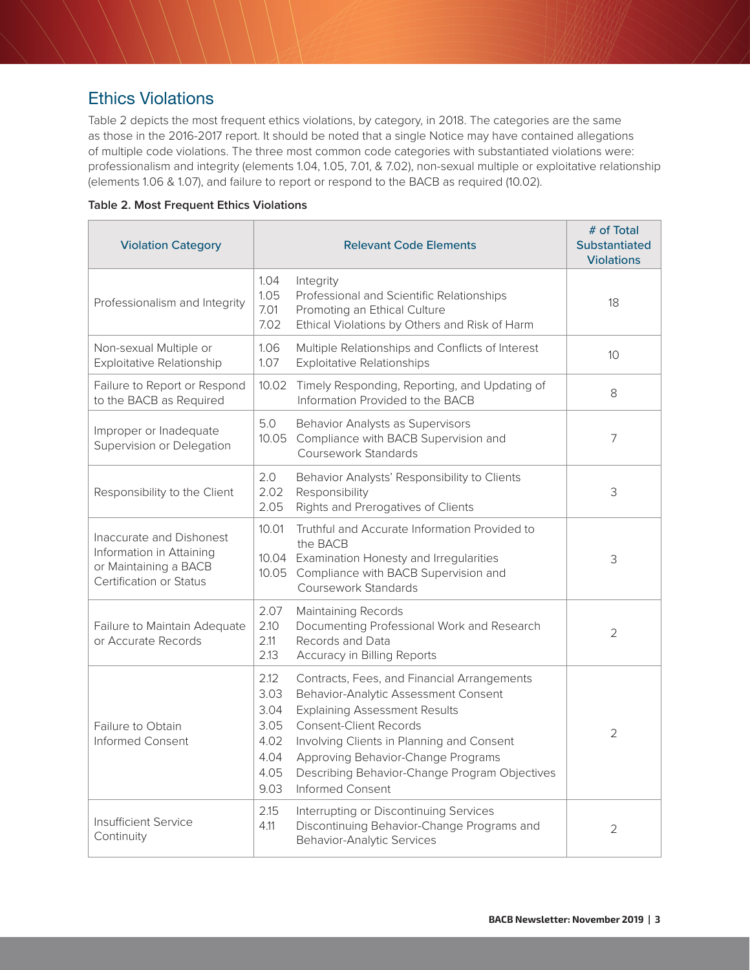## Ethics Violations

Table 2 depicts the most frequent ethics violations, by category, in 2018. The categories are the same as those in the 2016-2017 report. It should be noted that a single Notice may have contained allegations of multiple code violations. The three most common code categories with substantiated violations were: professionalism and integrity (elements 1.04, 1.05, 7.01, & 7.02), non-sexual multiple or exploitative relationship (elements 1.06 & 1.07), and failure to report or respond to the BACB as required (10.02).

|  |  |  |  | <b>Table 2. Most Frequent Ethics Violations</b> |
|--|--|--|--|-------------------------------------------------|
|--|--|--|--|-------------------------------------------------|

| <b>Violation Category</b>                                                                                | <b>Relevant Code Elements</b>                                |                                                                                                                                                                                                                                                                                                               | # of Total<br><b>Substantiated</b><br><b>Violations</b> |
|----------------------------------------------------------------------------------------------------------|--------------------------------------------------------------|---------------------------------------------------------------------------------------------------------------------------------------------------------------------------------------------------------------------------------------------------------------------------------------------------------------|---------------------------------------------------------|
| Professionalism and Integrity                                                                            | 1.04<br>1.05<br>7.01<br>7.02                                 | Integrity<br>Professional and Scientific Relationships<br>Promoting an Ethical Culture<br>Ethical Violations by Others and Risk of Harm                                                                                                                                                                       | 18                                                      |
| Non-sexual Multiple or<br>Exploitative Relationship                                                      | 1.06<br>1.07                                                 | Multiple Relationships and Conflicts of Interest<br><b>Exploitative Relationships</b>                                                                                                                                                                                                                         | 10                                                      |
| Failure to Report or Respond<br>to the BACB as Required                                                  | 10.02                                                        | Timely Responding, Reporting, and Updating of<br>Information Provided to the BACB                                                                                                                                                                                                                             | $\,8\,$                                                 |
| Improper or Inadequate<br>Supervision or Delegation                                                      | 5.0                                                          | Behavior Analysts as Supervisors<br>10.05 Compliance with BACB Supervision and<br><b>Coursework Standards</b>                                                                                                                                                                                                 | 7                                                       |
| Responsibility to the Client                                                                             | 2.0<br>2.02<br>2.05                                          | Behavior Analysts' Responsibility to Clients<br>Responsibility<br>Rights and Prerogatives of Clients                                                                                                                                                                                                          | 3                                                       |
| Inaccurate and Dishonest<br>Information in Attaining<br>or Maintaining a BACB<br>Certification or Status | 10.01                                                        | Truthful and Accurate Information Provided to<br>the BACB<br>10.04 Examination Honesty and Irregularities<br>10.05 Compliance with BACB Supervision and<br>Coursework Standards                                                                                                                               | 3                                                       |
| Failure to Maintain Adequate<br>or Accurate Records                                                      | 2.07<br>2.10<br>2.11<br>2.13                                 | <b>Maintaining Records</b><br>Documenting Professional Work and Research<br>Records and Data<br>Accuracy in Billing Reports                                                                                                                                                                                   | $\overline{2}$                                          |
| Failure to Obtain<br><b>Informed Consent</b>                                                             | 2.12<br>3.03<br>3.04<br>3.05<br>4.02<br>4.04<br>4.05<br>9.03 | Contracts, Fees, and Financial Arrangements<br>Behavior-Analytic Assessment Consent<br><b>Explaining Assessment Results</b><br>Consent-Client Records<br>Involving Clients in Planning and Consent<br>Approving Behavior-Change Programs<br>Describing Behavior-Change Program Objectives<br>Informed Consent | 2                                                       |
| Insufficient Service<br>Continuity                                                                       | 2.15<br>4.11                                                 | Interrupting or Discontinuing Services<br>Discontinuing Behavior-Change Programs and<br><b>Behavior-Analytic Services</b>                                                                                                                                                                                     | 2                                                       |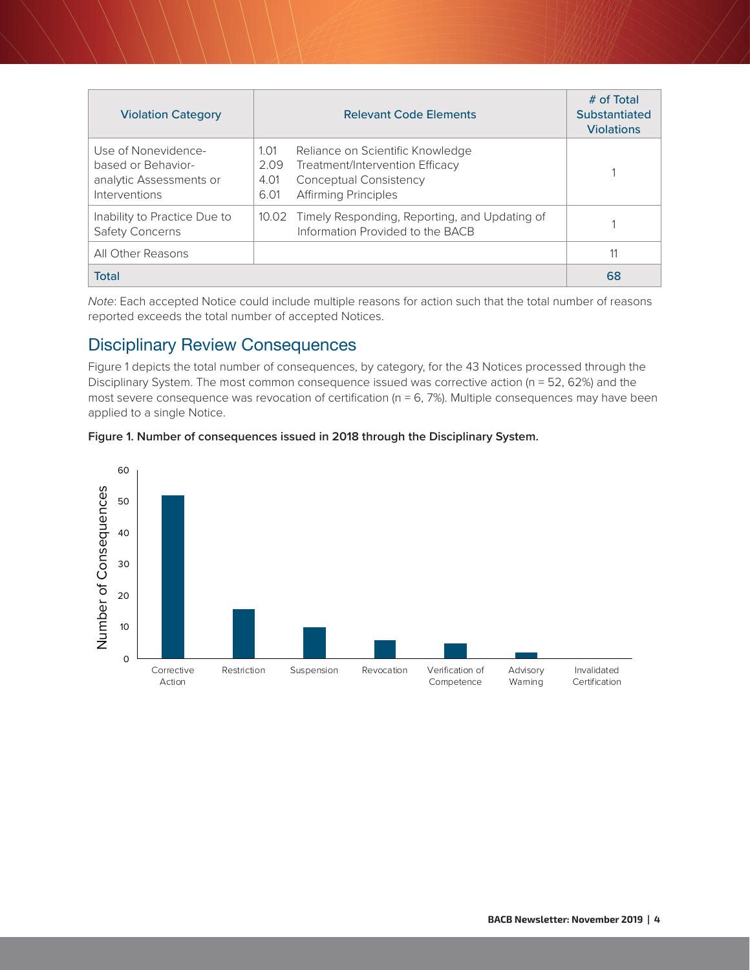| <b>Violation Category</b>                                                             | <b>Relevant Code Elements</b>                                                                                                                                       | # of Total<br>Substantiated<br><b>Violations</b> |
|---------------------------------------------------------------------------------------|---------------------------------------------------------------------------------------------------------------------------------------------------------------------|--------------------------------------------------|
| Use of Nonevidence-<br>based or Behavior-<br>analytic Assessments or<br>Interventions | Reliance on Scientific Knowledge<br>1.01<br>2.09<br>Treatment/Intervention Efficacy<br><b>Conceptual Consistency</b><br>4.01<br><b>Affirming Principles</b><br>6.01 |                                                  |
| Inability to Practice Due to<br><b>Safety Concerns</b>                                | 10.02 Timely Responding, Reporting, and Updating of<br>Information Provided to the BACB                                                                             |                                                  |
| All Other Reasons                                                                     |                                                                                                                                                                     | 11                                               |
| <b>Total</b>                                                                          |                                                                                                                                                                     | 68                                               |

*Note*: Each accepted Notice could include multiple reasons for action such that the total number of reasons reported exceeds the total number of accepted Notices.

#### Disciplinary Review Consequences

Figure 1 depicts the total number of consequences, by category, for the 43 Notices processed through the Disciplinary System. The most common consequence issued was corrective action (n = 52, 62%) and the most severe consequence was revocation of certification ( $n = 6$ , 7%). Multiple consequences may have been applied to a single Notice.



#### **Figure 1. Number of consequences issued in 2018 through the Disciplinary System.**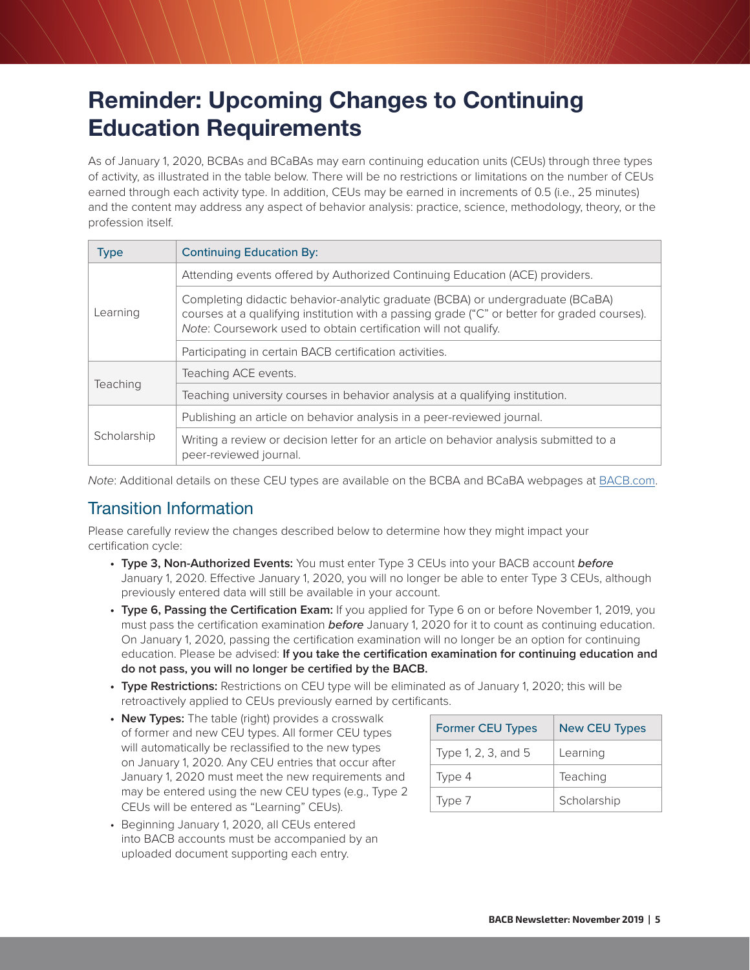## <span id="page-4-0"></span>**Reminder: Upcoming Changes to Continuing Education Requirements**

As of January 1, 2020, BCBAs and BCaBAs may earn continuing education units (CEUs) through three types of activity, as illustrated in the table below. There will be no restrictions or limitations on the number of CEUs earned through each activity type. In addition, CEUs may be earned in increments of 0.5 (i.e., 25 minutes) and the content may address any aspect of behavior analysis: practice, science, methodology, theory, or the profession itself.

| <b>Type</b> | <b>Continuing Education By:</b>                                                                                                                                                                                                                   |
|-------------|---------------------------------------------------------------------------------------------------------------------------------------------------------------------------------------------------------------------------------------------------|
|             | Attending events offered by Authorized Continuing Education (ACE) providers.                                                                                                                                                                      |
| Learning    | Completing didactic behavior-analytic graduate (BCBA) or undergraduate (BCaBA)<br>courses at a qualifying institution with a passing grade ("C" or better for graded courses).<br>Note: Coursework used to obtain certification will not qualify. |
|             | Participating in certain BACB certification activities.                                                                                                                                                                                           |
| Teaching    | Teaching ACE events.                                                                                                                                                                                                                              |
|             | Teaching university courses in behavior analysis at a qualifying institution.                                                                                                                                                                     |
| Scholarship | Publishing an article on behavior analysis in a peer-reviewed journal.                                                                                                                                                                            |
|             | Writing a review or decision letter for an article on behavior analysis submitted to a<br>peer-reviewed journal.                                                                                                                                  |

*Note*: Additional details on these CEU types are available on the BCBA and BCaBA webpages at [BACB.com](http://www.bacb.com).

#### Transition Information

Please carefully review the changes described below to determine how they might impact your certification cycle:

- **• Type 3, Non-Authorized Events:** You must enter Type 3 CEUs into your BACB account *before*  January 1, 2020. Effective January 1, 2020, you will no longer be able to enter Type 3 CEUs, although previously entered data will still be available in your account.
- **• Type 6, Passing the Certification Exam:** If you applied for Type 6 on or before November 1, 2019, you must pass the certification examination *before* January 1, 2020 for it to count as continuing education. On January 1, 2020, passing the certification examination will no longer be an option for continuing education. Please be advised: **If you take the certification examination for continuing education and do not pass, you will no longer be certified by the BACB.**
- **• Type Restrictions:** Restrictions on CEU type will be eliminated as of January 1, 2020; this will be retroactively applied to CEUs previously earned by certificants.
- **• New Types:** The table (right) provides a crosswalk of former and new CEU types. All former CEU types will automatically be reclassified to the new types on January 1, 2020. Any CEU entries that occur after January 1, 2020 must meet the new requirements and may be entered using the new CEU types (e.g., Type 2 CEUs will be entered as "Learning" CEUs).
- Beginning January 1, 2020, all CEUs entered into BACB accounts must be accompanied by an uploaded document supporting each entry.

| <b>Former CEU Types</b> | <b>New CEU Types</b> |  |
|-------------------------|----------------------|--|
| Type 1, 2, 3, and 5     | Learning             |  |
| Type 4                  | Teaching             |  |
| Type 7                  | Scholarship          |  |